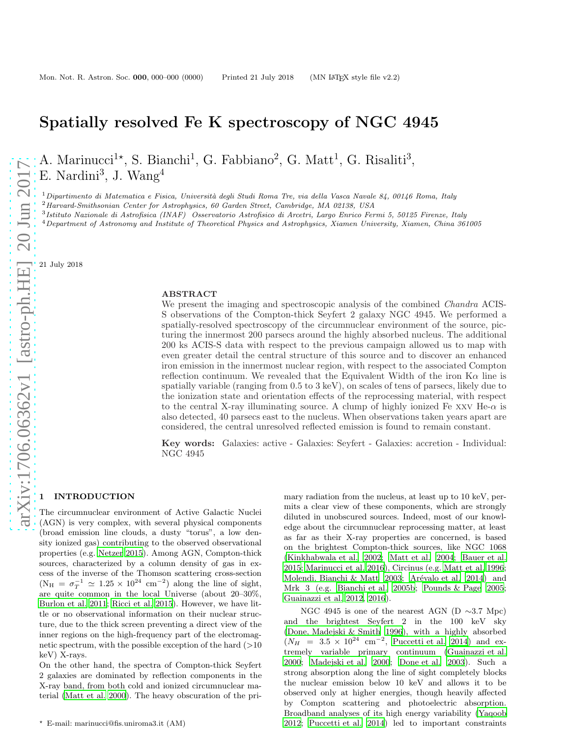# Spatially resolved Fe K spectroscopy of NGC 4945

A. Marinucci<sup>1\*</sup>, S. Bianchi<sup>1</sup>, G. Fabbiano<sup>2</sup>, G. Matt<sup>1</sup>, G. Risaliti<sup>3</sup>, E. Nardini<sup>3</sup>, J. Wang<sup>4</sup>

 $1$ Dipartimento di Matematica e Fisica, Università degli Studi Roma Tre, via della Vasca Navale 84, 00146 Roma, Italy

 $^{2}$ Harvard-Smithsonian Center for Astrophysics, 60 Garden Street, Cambridge, MA 02138, USA

3 Istituto Nazionale di Astrofisica (INAF) Osservatorio Astrofisico di Arcetri, Largo Enrico Fermi 5, 50125 Firenze, Italy

<sup>4</sup>Department of Astronomy and Institute of Theoretical Physics and Astrophysics, Xiamen University, Xiamen, China 361005

21 July 2018

#### ABSTRACT

We present the imaging and spectroscopic analysis of the combined *Chandra* ACIS-S observations of the Compton-thick Seyfert 2 galaxy NGC 4945. We performed a spatially-resolved spectroscopy of the circumnuclear environment of the source, picturing the innermost 200 parsecs around the highly absorbed nucleus. The additional 200 ks ACIS-S data with respect to the previous campaign allowed us to map with even greater detail the central structure of this source and to discover an enhanced iron emission in the innermost nuclear region, with respect to the associated Compton reflection continuum. We revealed that the Equivalent Width of the iron  $K\alpha$  line is spatially variable (ranging from 0.5 to 3 keV), on scales of tens of parsecs, likely due to the ionization state and orientation effects of the reprocessing material, with respect to the central X-ray illuminating source. A clump of highly ionized Fe xxv He- $\alpha$  is also detected, 40 parsecs east to the nucleus. When observations taken years apart are considered, the central unresolved reflected emission is found to remain constant.

Key words: Galaxies: active - Galaxies: Seyfert - Galaxies: accretion - Individual: NGC 4945

## 1 INTRODUCTION

The circumnuclear environment of Active Galactic Nuclei (AGN) is very complex, with several physical components (broad emission line clouds, a dusty "torus", a low density ionized gas) contributing to the observed observational properties (e.g. [Netzer 2015](#page-9-0)). Among AGN, Compton-thick sources, characterized by a column density of gas in excess of the inverse of the Thomson scattering cross-section  $(N_{\rm H} = \sigma_T^{-1} \simeq 1.25 \times 10^{24}$  cm<sup>-2</sup>) along the line of sight, are quite common in the local Universe (about 20–30%, [Burlon et al. 2011;](#page-9-1) [Ricci et al. 2015](#page-9-2)). However, we have little or no observational information on their nuclear structure, due to the thick screen preventing a direct view of the inner regions on the high-frequency part of the electromagnetic spectrum, with the possible exception of the hard  $(>10$ keV) X-rays.

On the other hand, the spectra of Compton-thick Seyfert 2 galaxies are dominated by reflection components in the X-ray band, from both cold and ionized circumnuclear material [\(Matt et al. 2000](#page-9-3)). The heavy obscuration of the primary radiation from the nucleus, at least up to 10 keV, permits a clear view of these components, which are strongly diluted in unobscured sources. Indeed, most of our knowledge about the circumnuclear reprocessing matter, at least as far as their X-ray properties are concerned, is based on the brightest Compton-thick sources, like NGC 1068 [\(Kinkhabwala et al. 2002;](#page-9-4) [Matt et al. 2004](#page-9-5); [Bauer et al.](#page-9-6) [2015](#page-9-6); [Marinucci et al. 2016\)](#page-9-7), Circinus (e.g. [Matt et al. 1996](#page-9-8); [Molendi, Bianchi & Matt 2003;](#page-9-9) Arévalo et al. 2014) and Mrk 3 (e.g. [Bianchi et al. 2005b](#page-9-11); [Pounds & Page 2005](#page-9-12); [Guainazzi et al. 2012](#page-9-13), [2016](#page-9-14)).

NGC 4945 is one of the nearest AGN (D ∼3.7 Mpc) and the brightest Seyfert 2 in the 100 keV sky [\(Done, Madejski & Smith 1996](#page-9-15)), with a highly absorbed  $(N_H = 3.5 \times 10^{24} \text{ cm}^{-2}$ , [Puccetti et al. 2014\)](#page-9-16) and extremely variable primary continuum [\(Guainazzi et al.](#page-9-17) [2000](#page-9-17); [Madejski et al. 2000](#page-9-18); [Done et al. 2003](#page-9-19)). Such a strong absorption along the line of sight completely blocks the nuclear emission below 10 keV and allows it to be observed only at higher energies, though heavily affected by Compton scattering and photoelectric absorption. Broadband analyses of its high energy variability [\(Yaqoob](#page-9-20) [2012](#page-9-20); [Puccetti et al. 2014](#page-9-16)) led to important constraints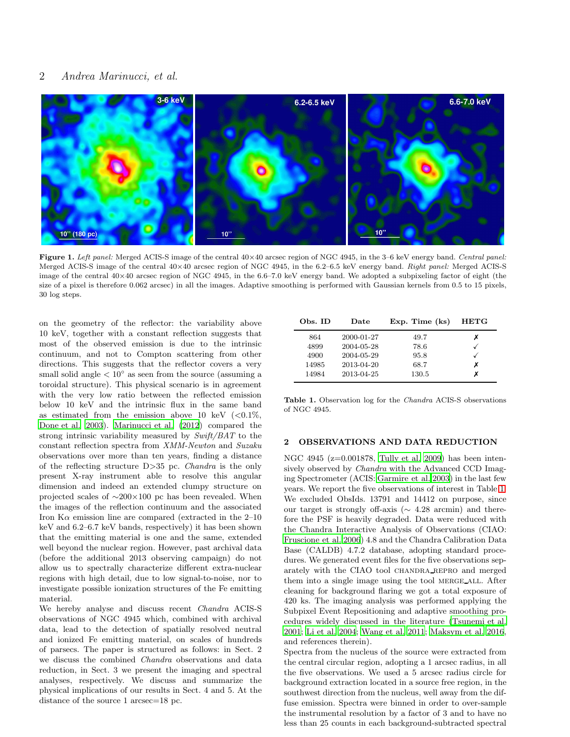# 2 Andrea Marinucci, et al.



<span id="page-1-1"></span>Figure 1. Left panel: Merged ACIS-S image of the central  $40 \times 40$  arcsec region of NGC 4945, in the 3–6 keV energy band. Central panel: Merged ACIS-S image of the central 40×40 arcsec region of NGC 4945, in the 6.2–6.5 keV energy band. Right panel: Merged ACIS-S image of the central 40×40 arcsec region of NGC 4945, in the 6.6–7.0 keV energy band. We adopted a subpixeling factor of eight (the size of a pixel is therefore 0.062 arcsec) in all the images. Adaptive smoothing is performed with Gaussian kernels from 0.5 to 15 pixels, 30 log steps.

on the geometry of the reflector: the variability above 10 keV, together with a constant reflection suggests that most of the observed emission is due to the intrinsic continuum, and not to Compton scattering from other directions. This suggests that the reflector covers a very small solid angle  $\lt 10^\circ$  as seen from the source (assuming a toroidal structure). This physical scenario is in agreement with the very low ratio between the reflected emission below 10 keV and the intrinsic flux in the same band as estimated from the emission above 10 keV  $\langle <0.1\%$ , [Done et al. 2003\)](#page-9-19). [Marinucci et al. \(2012](#page-9-21)) compared the strong intrinsic variability measured by Swift/BAT to the constant reflection spectra from XMM-Newton and Suzaku observations over more than ten years, finding a distance of the reflecting structure D>35 pc. Chandra is the only present X-ray instrument able to resolve this angular dimension and indeed an extended clumpy structure on projected scales of ∼200×100 pc has been revealed. When the images of the reflection continuum and the associated Iron  $K\alpha$  emission line are compared (extracted in the 2–10 keV and 6.2–6.7 keV bands, respectively) it has been shown that the emitting material is one and the same, extended well beyond the nuclear region. However, past archival data (before the additional 2013 observing campaign) do not allow us to spectrally characterize different extra-nuclear regions with high detail, due to low signal-to-noise, nor to investigate possible ionization structures of the Fe emitting material.

We hereby analyse and discuss recent Chandra ACIS-S observations of NGC 4945 which, combined with archival data, lead to the detection of spatially resolved neutral and ionized Fe emitting material, on scales of hundreds of parsecs. The paper is structured as follows: in Sect. 2 we discuss the combined Chandra observations and data reduction, in Sect. 3 we present the imaging and spectral analyses, respectively. We discuss and summarize the physical implications of our results in Sect. 4 and 5. At the distance of the source 1 arcsec=18 pc.

| Obs. ID | Date       | $Exp.$ Time $(ks)$ | <b>HETG</b> |
|---------|------------|--------------------|-------------|
| 864     | 2000-01-27 | 49.7               | х           |
| 4899    | 2004-05-28 | 78.6               |             |
| 4900    | 2004-05-29 | 95.8               |             |
| 14985   | 2013-04-20 | 68.7               | х           |
| 14984   | 2013-04-25 | 130.5              | x           |

<span id="page-1-0"></span>Table 1. Observation log for the Chandra ACIS-S observations of NGC 4945.

# 2 OBSERVATIONS AND DATA REDUCTION

NGC 4945 (z=0.001878, [Tully et al. 2009](#page-9-22)) has been intensively observed by Chandra with the Advanced CCD Imaging Spectrometer (ACIS: [Garmire et al. 2003](#page-9-23)) in the last few years. We report the five observations of interest in Table [1.](#page-1-0) We excluded ObsIds. 13791 and 14412 on purpose, since our target is strongly off-axis ( $\sim 4.28$  arcmin) and therefore the PSF is heavily degraded. Data were reduced with the Chandra Interactive Analysis of Observations (CIAO: [Fruscione et al. 2006](#page-9-24)) 4.8 and the Chandra Calibration Data Base (CALDB) 4.7.2 database, adopting standard procedures. We generated event files for the five observations separately with the CIAO tool CHANDRA REPRO and merged them into a single image using the tool MERGE\_ALL. After cleaning for background flaring we got a total exposure of 420 ks. The imaging analysis was performed applying the Subpixel Event Repositioning and adaptive smoothing procedures widely discussed in the literature [\(Tsunemi et al.](#page-9-25) [2001](#page-9-25); [Li et al. 2004;](#page-9-26) [Wang et al. 2011](#page-9-27); [Maksym et al. 2016](#page-9-28), and references therein).

Spectra from the nucleus of the source were extracted from the central circular region, adopting a 1 arcsec radius, in all the five observations. We used a 5 arcsec radius circle for background extraction located in a source free region, in the southwest direction from the nucleus, well away from the diffuse emission. Spectra were binned in order to over-sample the instrumental resolution by a factor of 3 and to have no less than 25 counts in each background-subtracted spectral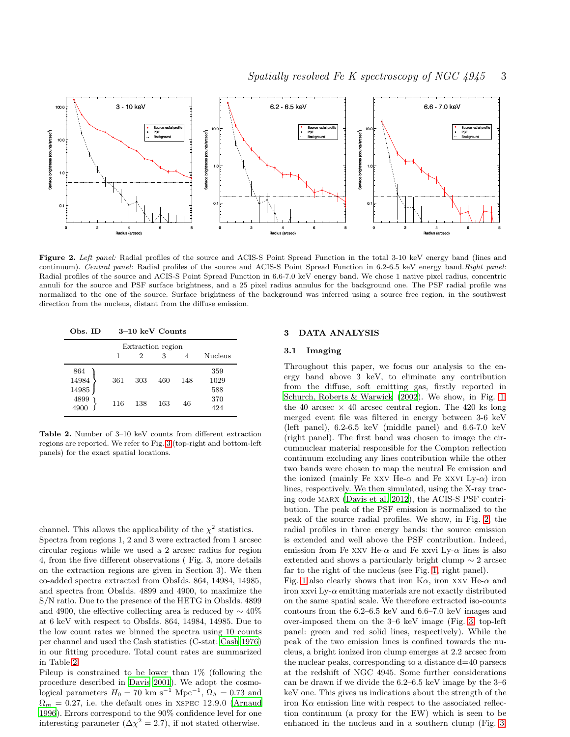



<span id="page-2-1"></span>Figure 2. Left panel: Radial profiles of the source and ACIS-S Point Spread Function in the total 3-10 keV energy band (lines and continuum). Central panel: Radial profiles of the source and ACIS-S Point Spread Function in 6.2-6.5 keV energy band.Right panel: Radial profiles of the source and ACIS-S Point Spread Function in 6.6-7.0 keV energy band. We chose 1 native pixel radius, concentric annuli for the source and PSF surface brightness, and a 25 pixel radius annulus for the background one. The PSF radial profile was normalized to the one of the source. Surface brightness of the background was inferred using a source free region, in the southwest direction from the nucleus, distant from the diffuse emission.

Obs. ID 3–10 keV Counts

| Extraction region         |     |     |     |     |                    |
|---------------------------|-----|-----|-----|-----|--------------------|
|                           |     | 2   | 3   |     | <b>Nucleus</b>     |
| 864<br>14984<br>$14985\,$ | 361 | 303 | 460 | 148 | 359<br>1029<br>588 |
| 4899<br>4900              | 116 | 138 | 163 | 46  | 370<br>424         |

<span id="page-2-0"></span>Table 2. Number of 3–10 keV counts from different extraction regions are reported. We refer to Fig. [3](#page-3-0) (top-right and bottom-left panels) for the exact spatial locations.

channel. This allows the applicability of the  $\chi^2$  statistics. Spectra from regions 1, 2 and 3 were extracted from 1 arcsec circular regions while we used a 2 arcsec radius for region 4, from the five different observations ( Fig. 3, more details on the extraction regions are given in Section 3). We then co-added spectra extracted from ObsIds. 864, 14984, 14985, and spectra from ObsIds. 4899 and 4900, to maximize the S/N ratio. Due to the presence of the HETG in ObsIds. 4899 and 4900, the effective collecting area is reduced by  $\sim 40\%$ at 6 keV with respect to ObsIds. 864, 14984, 14985. Due to the low count rates we binned the spectra using 10 counts per channel and used the Cash statistics (C-stat: [Cash 1976](#page-9-29)) in our fitting procedure. Total count rates are summarized in Table [2.](#page-2-0)

Pileup is constrained to be lower than 1% (following the procedure described in [Davis 2001](#page-9-30)). We adopt the cosmological parameters  $H_0 = 70 \text{ km s}^{-1} \text{ Mpc}^{-1}$ ,  $\Omega_{\Lambda} = 0.73$  and  $\Omega_m = 0.27$ , i.e. the default ones in XSPEC 12.9.0 [\(Arnaud](#page-9-31) [1996](#page-9-31)). Errors correspond to the 90% confidence level for one interesting parameter  $(\Delta \chi^2 = 2.7)$ , if not stated otherwise.

## 3 DATA ANALYSIS

#### 3.1 Imaging

Throughout this paper, we focus our analysis to the energy band above 3 keV, to eliminate any contribution from the diffuse, soft emitting gas, firstly reported in [Schurch, Roberts & Warwick \(2002\)](#page-9-32). We show, in Fig. [1,](#page-1-1) the 40 arcsec  $\times$  40 arcsec central region. The 420 ks long merged event file was filtered in energy between 3-6 keV (left panel), 6.2-6.5 keV (middle panel) and 6.6-7.0 keV (right panel). The first band was chosen to image the circumnuclear material responsible for the Compton reflection continuum excluding any lines contribution while the other two bands were chosen to map the neutral Fe emission and the ionized (mainly Fe xxv He- $\alpha$  and Fe xxvi Ly- $\alpha$ ) iron lines, respectively. We then simulated, using the X-ray tracing code marx [\(Davis et al. 2012](#page-9-33)), the ACIS-S PSF contribution. The peak of the PSF emission is normalized to the peak of the source radial profiles. We show, in Fig. [2,](#page-2-1) the radial profiles in three energy bands: the source emission is extended and well above the PSF contribution. Indeed, emission from Fe xxv He- $\alpha$  and Fe xxvi Ly- $\alpha$  lines is also extended and shows a particularly bright clump ∼ 2 arcsec far to the right of the nucleus (see Fig. [1,](#page-1-1) right panel).

Fig. [1](#page-1-1) also clearly shows that iron  $K\alpha$ , iron xxv He- $\alpha$  and iron xxvi Ly- $\alpha$  emitting materials are not exactly distributed on the same spatial scale. We therefore extracted iso-counts contours from the 6.2–6.5 keV and 6.6–7.0 keV images and over-imposed them on the 3–6 keV image (Fig. [3,](#page-3-0) top-left panel: green and red solid lines, respectively). While the peak of the two emission lines is confined towards the nucleus, a bright ionized iron clump emerges at 2.2 arcsec from the nuclear peaks, corresponding to a distance d=40 parsecs at the redshift of NGC 4945. Some further considerations can be drawn if we divide the 6.2–6.5 keV image by the 3–6 keV one. This gives us indications about the strength of the iron  $K\alpha$  emission line with respect to the associated reflection continuum (a proxy for the EW) which is seen to be enhanced in the nucleus and in a southern clump (Fig. [3,](#page-3-0)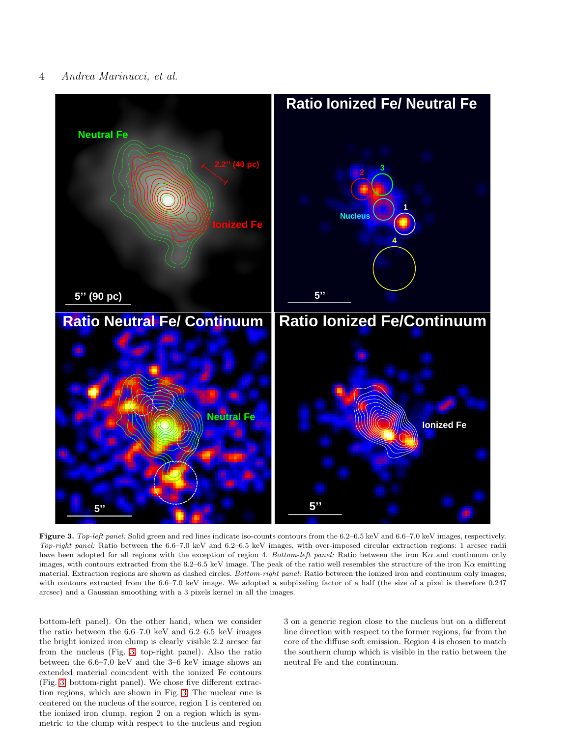# 4 Andrea Marinucci, et al.



<span id="page-3-0"></span>Figure 3. Top-left panel: Solid green and red lines indicate iso-counts contours from the 6.2–6.5 keV and 6.6–7.0 keV images, respectively. Top-right panel: Ratio between the 6.6–7.0 keV and 6.2–6.5 keV images, with over-imposed circular extraction regions: 1 arcsec radii have been adopted for all regions with the exception of region 4. Bottom-left panel: Ratio between the iron  $K\alpha$  and continuum only images, with contours extracted from the  $6.2-6.5$  keV image. The peak of the ratio well resembles the structure of the iron  $Ka$  emitting material. Extraction regions are shown as dashed circles. Bottom-right panel: Ratio between the ionized iron and continuum only images, with contours extracted from the 6.6–7.0 keV image. We adopted a subpixeling factor of a half (the size of a pixel is therefore 0.247 arcsec) and a Gaussian smoothing with a 3 pixels kernel in all the images.

bottom-left panel). On the other hand, when we consider the ratio between the 6.6–7.0 keV and 6.2–6.5 keV images the bright ionized iron clump is clearly visible 2.2 arcsec far from the nucleus (Fig. [3,](#page-3-0) top-right panel). Also the ratio between the 6.6–7.0 keV and the 3–6 keV image shows an extended material coincident with the ionized Fe contours (Fig. [3,](#page-3-0) bottom-right panel). We chose five different extraction regions, which are shown in Fig. [3.](#page-3-0) The nuclear one is centered on the nucleus of the source, region 1 is centered on the ionized iron clump, region 2 on a region which is symmetric to the clump with respect to the nucleus and region 3 on a generic region close to the nucleus but on a different line direction with respect to the former regions, far from the core of the diffuse soft emission. Region 4 is chosen to match the southern clump which is visible in the ratio between the neutral Fe and the continuum.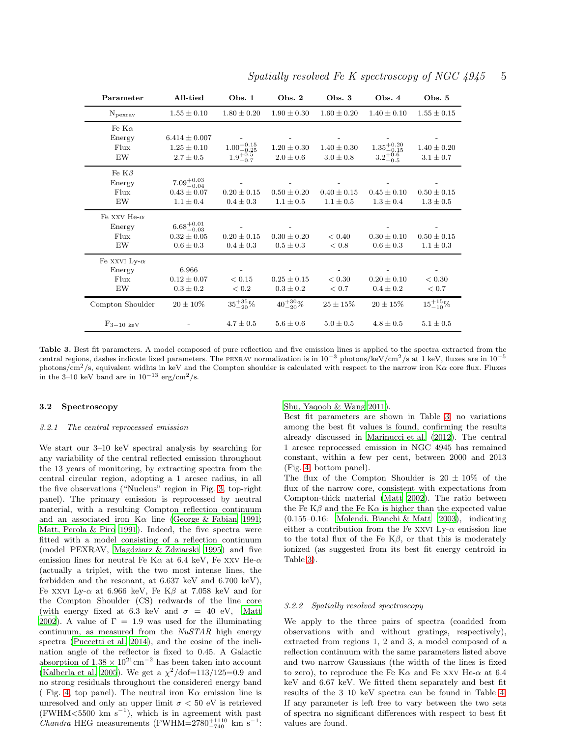| Parameter                                    | All-tied                                                   | Obs.1                                                   | Obs. $2$                         | Obs. 3                           | Obs. $4$                                      | Obs. 5                           |
|----------------------------------------------|------------------------------------------------------------|---------------------------------------------------------|----------------------------------|----------------------------------|-----------------------------------------------|----------------------------------|
| $N_{\rm pexrav}$                             | $1.55 \pm 0.10$                                            | $1.80 \pm 0.20$                                         | $1.90 \pm 0.30$                  | $1.60 \pm 0.20$                  | $1.40 \pm 0.10$                               | $1.55 \pm 0.15$                  |
| Fe K $\alpha$<br>Energy<br>Flux<br>EW        | $6.414 \pm 0.007$<br>$1.25 \pm 0.10$<br>$2.7 \pm 0.5$      | $1.00 \substack{+0.15 \\ -0.25}$<br>$1.9^{+0.5}_{-0.7}$ | $1.20 \pm 0.30$<br>$2.0 \pm 0.6$ | $1.40 \pm 0.30$<br>$3.0 \pm 0.8$ | $1.35^{+0.20}_{-0.15}$<br>$3.2^{+0.6}_{-0.5}$ | $1.40 \pm 0.20$<br>$3.1 \pm 0.7$ |
| Fe $K\beta$<br>Energy<br>Flux<br>EW          | $7.09^{+0.03}_{-0.04}$<br>$0.43 \pm 0.07$<br>$1.1 \pm 0.4$ | $0.20 \pm 0.15$<br>$0.4 \pm 0.3$                        | $0.50 \pm 0.20$<br>$1.1 \pm 0.5$ | $0.40 \pm 0.15$<br>$1.1 \pm 0.5$ | $0.45 \pm 0.10$<br>$1.3 \pm 0.4$              | $0.50 \pm 0.15$<br>$1.3 \pm 0.5$ |
| Fe xxv He- $\alpha$<br>Energy<br>Flux<br>EW  | $6.68^{+0.01}_{-0.03}$<br>$0.32 \pm 0.05$<br>$0.6 \pm 0.3$ | $0.20 \pm 0.15$<br>$0.4 \pm 0.3$                        | $0.30 \pm 0.20$<br>$0.5 \pm 0.3$ | < 0.40<br>< 0.8                  | $0.30 \pm 0.10$<br>$0.6 \pm 0.3$              | $0.50 \pm 0.15$<br>$1.1 \pm 0.3$ |
| Fe xxvi Ly- $\alpha$<br>Energy<br>Flux<br>EW | 6.966<br>$0.12 \pm 0.07$<br>$0.3 \pm 0.2$                  | ${}_{< 0.15}$<br>< 0.2                                  | $0.25 \pm 0.15$<br>$0.3 \pm 0.2$ | ${}< 0.30$<br>< 0.7              | $0.20 \pm 0.10$<br>$0.4 \pm 0.2$              | < 0.30<br>< 0.7                  |
| Compton Shoulder                             | $20 \pm 10\%$                                              | $35^{+35}_{-20}\%$                                      | $40^{+30}_{-20}\%$               | $25 \pm 15\%$                    | $20 \pm 15\%$                                 | $15^{+15}_{-10}\%$               |
| $F_{3-10~\mathrm{keV}}$                      |                                                            | $4.7 \pm 0.5$                                           | $5.6 \pm 0.6$                    | $5.0 \pm 0.5$                    | $4.8 \pm 0.5$                                 | $5.1 \pm 0.5$                    |

Spatially resolved Fe K spectroscopy of NGC  $4945 - 5$ 

<span id="page-4-0"></span>Table 3. Best fit parameters. A model composed of pure reflection and five emission lines is applied to the spectra extracted from the central regions, dashes indicate fixed parameters. The PEXRAV normalization is in  $10^{-3}$  photons/keV/cm<sup>2</sup>/s at 1 keV, fluxes are in  $10^{-5}$ photons/cm<sup>2</sup>/s, equivalent widhts in keV and the Compton shoulder is calculated with respect to the narrow iron K $\alpha$  core flux. Fluxes in the 3–10 keV band are in  $10^{-13}$  erg/cm<sup>2</sup>/s.

#### 3.2 Spectroscopy

#### 3.2.1 The central reprocessed emission

We start our 3–10 keV spectral analysis by searching for any variability of the central reflected emission throughout the 13 years of monitoring, by extracting spectra from the central circular region, adopting a 1 arcsec radius, in all the five observations ("Nucleus" region in Fig. [3,](#page-3-0) top-right panel). The primary emission is reprocessed by neutral material, with a resulting Compton reflection continuum and an associated iron  $K\alpha$  line [\(George & Fabian 1991;](#page-9-34) [Matt, Perola & Piro 1991](#page-9-35)). Indeed, the five spectra were fitted with a model consisting of a reflection continuum (model PEXRAV, [Magdziarz & Zdziarski 1995](#page-9-36)) and five emission lines for neutral Fe K $\alpha$  at 6.4 keV, Fe xxv He- $\alpha$ (actually a triplet, with the two most intense lines, the forbidden and the resonant, at 6.637 keV and 6.700 keV), Fe xxvi Ly- $\alpha$  at 6.966 keV, Fe K $\beta$  at 7.058 keV and for the Compton Shoulder (CS) redwards of the line core (with energy fixed at 6.3 keV and  $\sigma = 40$  eV, [Matt](#page-9-37) [2002](#page-9-37)). A value of  $\Gamma = 1.9$  was used for the illuminating continuum, as measured from the  $NuSTAR$  high energy spectra [\(Puccetti et al. 2014](#page-9-16)), and the cosine of the inclination angle of the reflector is fixed to 0.45. A Galactic absorption of  $1.38 \times 10^{21}$  cm<sup>-2</sup> has been taken into account [\(Kalberla et al. 2005](#page-9-38)). We get a  $\chi^2/\text{dof} = 113/125 = 0.9$  and no strong residuals throughout the considered energy band ( Fig. [4,](#page-5-0) top panel). The neutral iron  $K\alpha$  emission line is unresolved and only an upper limit  $\sigma < 50$  eV is retrieved  $(FWHM < 5500 \text{ km s}^{-1})$ , which is in agreement with past Chandra HEG measurements (FWHM=2780<sup>+1110</sup> km s<sup>-1</sup>:

[Shu, Yaqoob & Wang 2011\)](#page-9-39).

Best fit parameters are shown in Table [3:](#page-4-0) no variations among the best fit values is found, confirming the results already discussed in [Marinucci et al. \(2012\)](#page-9-21). The central 1 arcsec reprocessed emission in NGC 4945 has remained constant, within a few per cent, between 2000 and 2013 (Fig. [4,](#page-5-0) bottom panel).

The flux of the Compton Shoulder is  $20 \pm 10\%$  of the flux of the narrow core, consistent with expectations from Compton-thick material [\(Matt 2002\)](#page-9-37). The ratio between the Fe K $\beta$  and the Fe K $\alpha$  is higher than the expected value (0.155–0.16: [Molendi, Bianchi & Matt 2003\)](#page-9-9), indicating either a contribution from the Fe xxvi Ly- $\alpha$  emission line to the total flux of the Fe  $K\beta$ , or that this is moderately ionized (as suggested from its best fit energy centroid in Table [3\)](#page-4-0).

#### 3.2.2 Spatially resolved spectroscopy

We apply to the three pairs of spectra (coadded from observations with and without gratings, respectively), extracted from regions 1, 2 and 3, a model composed of a reflection continuum with the same parameters listed above and two narrow Gaussians (the width of the lines is fixed to zero), to reproduce the Fe K $\alpha$  and Fe xxv He- $\alpha$  at 6.4 keV and 6.67 keV. We fitted them separately and best fit results of the 3–10 keV spectra can be found in Table [4.](#page-6-0) If any parameter is left free to vary between the two sets of spectra no significant differences with respect to best fit values are found.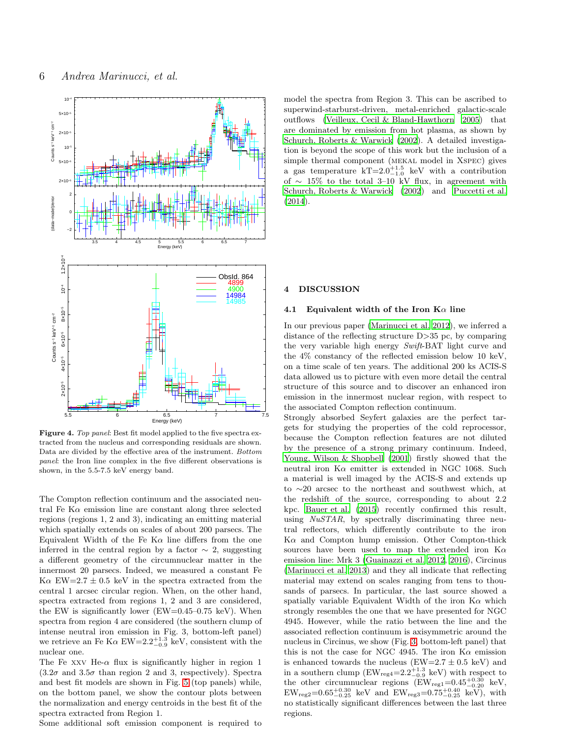

<span id="page-5-0"></span>Figure 4. Top panel: Best fit model applied to the five spectra extracted from the nucleus and corresponding residuals are shown. Data are divided by the effective area of the instrument. Bottom panel: the Iron line complex in the five different observations is shown, in the 5.5-7.5 keV energy band.

The Compton reflection continuum and the associated neutral Fe K $\alpha$  emission line are constant along three selected regions (regions 1, 2 and 3), indicating an emitting material which spatially extends on scales of about 200 parsecs. The Equivalent Width of the Fe K $\alpha$  line differs from the one inferred in the central region by a factor  $\sim$  2, suggesting a different geometry of the circumnuclear matter in the innermost 20 parsecs. Indeed, we measured a constant Fe K $\alpha$  EW=2.7  $\pm$  0.5 keV in the spectra extracted from the central 1 arcsec circular region. When, on the other hand, spectra extracted from regions 1, 2 and 3 are considered, the EW is significantly lower ( $EW=0.45-0.75$  keV). When spectra from region 4 are considered (the southern clump of intense neutral iron emission in Fig. 3, bottom-left panel) we retrieve an Fe K $\alpha$  EW=2.2<sup>+1.3</sup> keV, consistent with the nuclear one.

The Fe xxv He- $\alpha$  flux is significantly higher in region 1  $(3.2\sigma$  and  $3.5\sigma$  than region 2 and 3, respectively). Spectra and best fit models are shown in Fig. [5](#page-6-1) (top panels) while, on the bottom panel, we show the contour plots between the normalization and energy centroids in the best fit of the spectra extracted from Region 1.

Some additional soft emission component is required to

model the spectra from Region 3. This can be ascribed to superwind-starburst-driven, metal-enriched galactic-scale outflows [\(Veilleux, Cecil & Bland-Hawthorn 2005](#page-9-40)) that are dominated by emission from hot plasma, as shown by [Schurch, Roberts & Warwick \(2002](#page-9-32)). A detailed investigation is beyond the scope of this work but the inclusion of a simple thermal component (mekal model in Xspec) gives a gas temperature  $kT=2.0^{+1.5}_{-1.0}$  keV with a contribution of ∼ 15% to the total 3–10 kV flux, in agreement with [Schurch, Roberts & Warwick \(2002](#page-9-32)) and [Puccetti et al.](#page-9-16) [\(2014](#page-9-16)).

#### 4 DISCUSSION

## 4.1 Equivalent width of the Iron  $\mathbf{K}\alpha$  line

In our previous paper [\(Marinucci et al. 2012](#page-9-21)), we inferred a distance of the reflecting structure D>35 pc, by comparing the very variable high energy Swift-BAT light curve and the 4% constancy of the reflected emission below 10 keV, on a time scale of ten years. The additional 200 ks ACIS-S data allowed us to picture with even more detail the central structure of this source and to discover an enhanced iron emission in the innermost nuclear region, with respect to the associated Compton reflection continuum.

Strongly absorbed Seyfert galaxies are the perfect targets for studying the properties of the cold reprocessor, because the Compton reflection features are not diluted by the presence of a strong primary continuum. Indeed, [Young, Wilson & Shopbell \(2001](#page-9-41)) firstly showed that the neutral iron  $K\alpha$  emitter is extended in NGC 1068. Such a material is well imaged by the ACIS-S and extends up to ∼20 arcsec to the northeast and southwest which, at the redshift of the source, corresponding to about 2.2 kpc. [Bauer et al. \(2015](#page-9-6)) recently confirmed this result, using NuSTAR, by spectrally discriminating three neutral reflectors, which differently contribute to the iron  $K\alpha$  and Compton hump emission. Other Compton-thick sources have been used to map the extended iron  $K\alpha$ emission line: Mrk 3 [\(Guainazzi et al. 2012,](#page-9-13) [2016\)](#page-9-14), Circinus [\(Marinucci et al. 2013\)](#page-9-42) and they all indicate that reflecting material may extend on scales ranging from tens to thousands of parsecs. In particular, the last source showed a spatially variable Equivalent Width of the iron  $K\alpha$  which strongly resembles the one that we have presented for NGC 4945. However, while the ratio between the line and the associated reflection continuum is axisymmetric around the nucleus in Circinus, we show (Fig. [3,](#page-3-0) bottom-left panel) that this is not the case for NGC 4945. The iron  $K\alpha$  emission is enhanced towards the nucleus (EW=2.7  $\pm$  0.5 keV) and in a southern clump ( $EW_{reg4}=2.2^{+1.3}_{-0.9}$  keV) with respect to the other circumnuclear regions  $(EW_{reg1}=0.45^{+0.30}_{-0.20} \text{ keV},$  $EW_{\text{reg2}} = 0.65^{+0.30}_{-0.25}$  keV and  $EW_{\text{reg3}} = 0.75^{+0.40}_{-0.25}$  keV), with no statistically significant differences between the last three regions.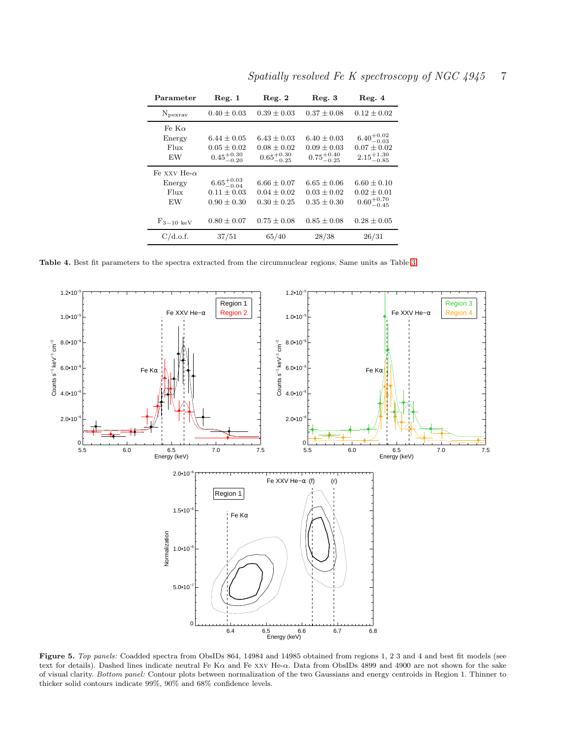| Parameter                                   | Reg. 1                                                       | Reg. 2                                                       | Reg. 3                                                       | Reg. 4                                                              |
|---------------------------------------------|--------------------------------------------------------------|--------------------------------------------------------------|--------------------------------------------------------------|---------------------------------------------------------------------|
| $N_{\rm pexrav}$                            | $0.40 \pm 0.03$                                              | $0.39 \pm 0.03$                                              | $0.37 \pm 0.08$                                              | $0.12 \pm 0.02$                                                     |
| Fe K $\alpha$<br>Energy<br>Flux<br>EW       | $6.44 \pm 0.05$<br>$0.05 \pm 0.02$<br>$0.45^{+0.30}_{-0.20}$ | $6.43 \pm 0.03$<br>$0.08 \pm 0.02$<br>$0.65^{+0.30}_{-0.25}$ | $6.40 \pm 0.03$<br>$0.09 \pm 0.03$<br>$0.75^{+0.40}_{-0.25}$ | $6.40^{+0.02}_{-0.03}$<br>$0.07 \pm 0.02$<br>$2.15^{+1.30}_{-0.85}$ |
| Fe xxv He- $\alpha$<br>Energy<br>Flux<br>EW | $6.65^{+0.03}_{-0.04}$<br>$0.11 \pm 0.03$<br>$0.90 \pm 0.30$ | $6.66 \pm 0.07$<br>$0.04 \pm 0.02$<br>$0.30 \pm 0.25$        | $6.65 \pm 0.06$<br>$0.03 \pm 0.02$<br>$0.35 \pm 0.30$        | $6.60 \pm 0.10$<br>$0.02 \pm 0.01$<br>$0.60^{+0.70}_{-0.45}$        |
| $F_{3-10~\mathrm{keV}}$                     | $0.80 \pm 0.07$                                              | $0.75 \pm 0.08$                                              | $0.85 \pm 0.08$                                              | $0.28 \pm 0.05$                                                     |
| C/d.o.f.                                    | 37/51                                                        | 65/40                                                        | 28/38                                                        | 26/31                                                               |

Spatially resolved Fe K spectroscopy of NGC 4945 7

<span id="page-6-0"></span>Table 4. Best fit parameters to the spectra extracted from the circumnuclear regions. Same units as Table [3.](#page-4-0)



<span id="page-6-1"></span>Figure 5. Top panels: Coadded spectra from ObsIDs 864, 14984 and 14985 obtained from regions 1, 2 3 and 4 and best fit models (see text for details). Dashed lines indicate neutral Fe K $\alpha$  and Fe xxv He- $\alpha$ . Data from ObsIDs 4899 and 4900 are not shown for the sake of visual clarity. Bottom panel: Contour plots between normalization of the two Gaussians and energy centroids in Region 1. Thinner to thicker solid contours indicate 99%, 90% and 68% confidence levels.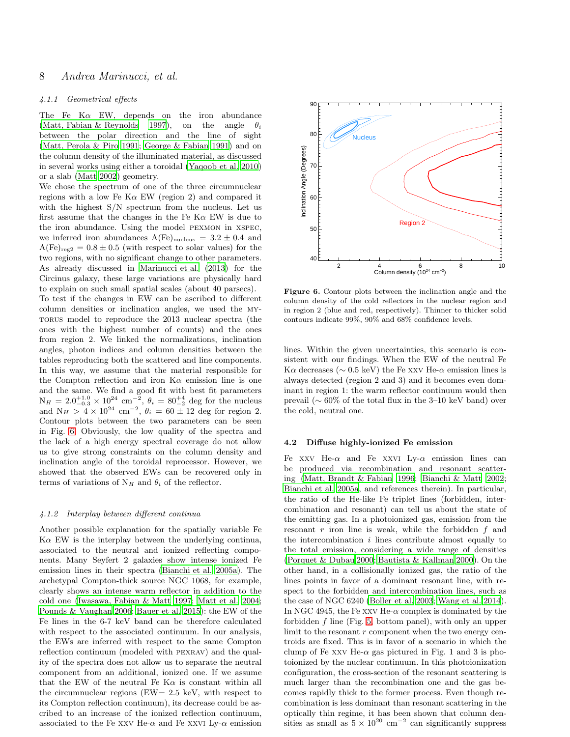# 8 Andrea Marinucci, et al.

#### 4.1.1 Geometrical effects

The Fe K $\alpha$  EW, depends on the iron abundance [\(Matt, Fabian & Reynolds 1997](#page-9-43)), on the angle  $\theta_i$ between the polar direction and the line of sight [\(Matt, Perola & Piro 1991](#page-9-35); [George & Fabian 1991](#page-9-34)) and on the column density of the illuminated material, as discussed in several works using either a toroidal [\(Yaqoob et al. 2010](#page-9-44)) or a slab [\(Matt 2002](#page-9-37)) geometry.

We chose the spectrum of one of the three circumnuclear regions with a low Fe K $\alpha$  EW (region 2) and compared it with the highest  $S/N$  spectrum from the nucleus. Let us first assume that the changes in the Fe  $K\alpha$  EW is due to the iron abundance. Using the model pexmon in xspec, we inferred iron abundances  $A(Fe)_{\text{nucleus}} = 3.2 \pm 0.4$  and  $A(Ee)_{reg2} = 0.8 \pm 0.5$  (with respect to solar values) for the two regions, with no significant change to other parameters. As already discussed in [Marinucci et al. \(2013\)](#page-9-42) for the Circinus galaxy, these large variations are physically hard to explain on such small spatial scales (about 40 parsecs). To test if the changes in EW can be ascribed to different column densities or inclination angles, we used the mytorus model to reproduce the 2013 nuclear spectra (the ones with the highest number of counts) and the ones from region 2. We linked the normalizations, inclination angles, photon indices and column densities between the tables reproducing both the scattered and line components. In this way, we assume that the material responsible for the Compton reflection and iron  $K\alpha$  emission line is one and the same. We find a good fit with best fit parameters  $N_H = 2.0^{+1.0}_{-0.3} \times 10^{24}$  cm<sup>-2</sup>,  $\theta_i = 80^{+4}_{-2}$  deg for the nucleus and  $N_H > 4 \times 10^{24}$  cm<sup>-2</sup>,  $\theta_i = 60 \pm 12$  deg for region 2. Contour plots between the two parameters can be seen in Fig. [6.](#page-7-0) Obviously, the low quality of the spectra and the lack of a high energy spectral coverage do not allow us to give strong constraints on the column density and inclination angle of the toroidal reprocessor. However, we showed that the observed EWs can be recovered only in terms of variations of  $N_H$  and  $\theta_i$  of the reflector.

#### 4.1.2 Interplay between different continua

Another possible explanation for the spatially variable Fe  $K\alpha$  EW is the interplay between the underlying continua, associated to the neutral and ionized reflecting components. Many Seyfert 2 galaxies show intense ionized Fe emission lines in their spectra [\(Bianchi et al. 2005a\)](#page-9-45). The archetypal Compton-thick source NGC 1068, for example, clearly shows an intense warm reflector in addition to the cold one [\(Iwasawa, Fabian & Matt 1997;](#page-9-46) [Matt et al. 2004;](#page-9-5) [Pounds & Vaughan 2006](#page-9-47); [Bauer et al. 2015](#page-9-6)): the EW of the Fe lines in the 6-7 keV band can be therefore calculated with respect to the associated continuum. In our analysis, the EWs are inferred with respect to the same Compton reflection continuum (modeled with pexrav) and the quality of the spectra does not allow us to separate the neutral component from an additional, ionized one. If we assume that the EW of the neutral Fe K $\alpha$  is constant within all the circumnuclear regions ( $EW = 2.5$  keV, with respect to its Compton reflection continuum), its decrease could be ascribed to an increase of the ionized reflection continuum, associated to the Fe xxv He- $\alpha$  and Fe xxvi Ly- $\alpha$  emission



<span id="page-7-0"></span>Figure 6. Contour plots between the inclination angle and the column density of the cold reflectors in the nuclear region and in region 2 (blue and red, respectively). Thinner to thicker solid contours indicate 99%, 90% and 68% confidence levels.

lines. Within the given uncertainties, this scenario is consistent with our findings. When the EW of the neutral Fe K $\alpha$  decreases ( $\sim 0.5 \text{ keV}$ ) the Fe xxv He- $\alpha$  emission lines is always detected (region 2 and 3) and it becomes even dominant in region 1: the warm reflector continuum would then prevail ( $\sim 60\%$  of the total flux in the 3–10 keV band) over the cold, neutral one.

#### 4.2 Diffuse highly-ionized Fe emission

Fe xxv He- $\alpha$  and Fe xxvI Ly- $\alpha$  emission lines can be produced via recombination and resonant scattering [\(Matt, Brandt & Fabian 1996](#page-9-48); [Bianchi & Matt 2002](#page-9-49); [Bianchi et al. 2005a](#page-9-45), and references therein). In particular, the ratio of the He-like Fe triplet lines (forbidden, intercombination and resonant) can tell us about the state of the emitting gas. In a photoionized gas, emission from the resonant  $r$  iron line is weak, while the forbidden  $f$  and the intercombination  $i$  lines contribute almost equally to the total emission, considering a wide range of densities [\(Porquet & Dubau 2000](#page-9-50); [Bautista & Kallman 2000](#page-9-51)). On the other hand, in a collisionally ionized gas, the ratio of the lines points in favor of a dominant resonant line, with respect to the forbidden and intercombination lines, such as the case of NGC 6240 [\(Boller et al. 2003](#page-9-52); [Wang et al. 2014](#page-9-53)). In NGC 4945, the Fe xxv He- $\alpha$  complex is dominated by the forbidden f line (Fig. [5,](#page-6-1) bottom panel), with only an upper limit to the resonant  $r$  component when the two energy centroids are fixed. This is in favor of a scenario in which the clump of Fe xxv He- $\alpha$  gas pictured in Fig. 1 and 3 is photoionized by the nuclear continuum. In this photoionization configuration, the cross-section of the resonant scattering is much larger than the recombination one and the gas becomes rapidly thick to the former process. Even though recombination is less dominant than resonant scattering in the optically thin regime, it has been shown that column densities as small as  $5 \times 10^{20}$  cm<sup>-2</sup> can significantly suppress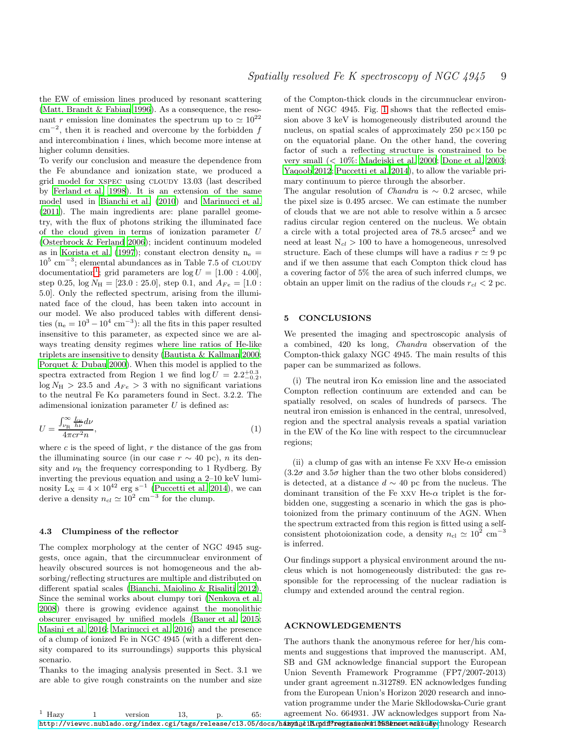the EW of emission lines produced by resonant scattering [\(Matt, Brandt & Fabian 1996](#page-9-48)). As a consequence, the resonant r emission line dominates the spectrum up to  $\simeq 10^{22}$ cm<sup>−</sup><sup>2</sup> , then it is reached and overcome by the forbidden f and intercombination  $i$  lines, which become more intense at higher column densities.

To verify our conclusion and measure the dependence from the Fe abundance and ionization state, we produced a grid model for xspec using cloudy 13.03 (last described by [Ferland et al. 1998](#page-9-54)). It is an extension of the same model used in [Bianchi et al. \(2010\)](#page-9-55) and [Marinucci et al.](#page-9-56) [\(2011](#page-9-56)). The main ingredients are: plane parallel geometry, with the flux of photons striking the illuminated face of the cloud given in terms of ionization parameter U [\(Osterbrock & Ferland 2006\)](#page-9-57); incident continuum modeled as in [Korista et al. \(1997\)](#page-9-58); constant electron density  $n_e =$ 10<sup>5</sup> cm<sup>-3</sup>; elemental abundances as in Table 7.5 of CLOUDY documentation<sup>[1](#page-8-0)</sup>; grid parameters are  $log U = [1.00 : 4.00]$ , step 0.25,  $log N<sub>H</sub> = [23.0 : 25.0]$ , step 0.1, and  $A<sub>Fe</sub> = [1.0 :$ 5.0]. Only the reflected spectrum, arising from the illuminated face of the cloud, has been taken into account in our model. We also produced tables with different densities  $(n_e = 10^3 - 10^4 \text{ cm}^{-3})$ : all the fits in this paper resulted insensitive to this parameter, as expected since we are always treating density regimes where line ratios of He-like triplets are insensitive to density [\(Bautista & Kallman 2000;](#page-9-51) [Porquet & Dubau 2000](#page-9-50)). When this model is applied to the spectra extracted from Region 1 we find  $\log U = 2.2^{+0.3}_{-0.2}$ ,  $\log N_H > 23.5$  and  $A_{Fe} > 3$  with no significant variations to the neutral Fe K $\alpha$  parameters found in Sect. 3.2.2. The adimensional ionization parameter  $U$  is defined as:

$$
U = \frac{\int_{\nu_R}^{\infty} \frac{L_{\nu}}{h\nu} d\nu}{4\pi cr^2 n},\tag{1}
$$

where  $c$  is the speed of light,  $r$  the distance of the gas from the illuminating source (in our case  $r \sim 40$  pc), n its density and  $\nu_R$  the frequency corresponding to 1 Rydberg. By inverting the previous equation and using a 2–10 keV luminosity  $L_X = 4 \times 10^{42}$  erg s<sup>-1</sup> [\(Puccetti et al. 2014](#page-9-16)), we can derive a density  $n_{cl} \simeq 10^2$  cm<sup>-3</sup> for the clump.

#### 4.3 Clumpiness of the reflector

The complex morphology at the center of NGC 4945 suggests, once again, that the circumnuclear environment of heavily obscured sources is not homogeneous and the absorbing/reflecting structures are multiple and distributed on different spatial scales [\(Bianchi, Maiolino & Risaliti 2012](#page-9-59)). Since the seminal works about clumpy tori [\(Nenkova et al.](#page-9-60) [2008](#page-9-60)) there is growing evidence against the monolithic obscurer envisaged by unified models [\(Bauer et al. 2015;](#page-9-6) [Masini et al. 2016](#page-9-61); [Marinucci et al. 2016\)](#page-9-7) and the presence of a clump of ionized Fe in NGC 4945 (with a different density compared to its surroundings) supports this physical scenario.

Thanks to the imaging analysis presented in Sect. 3.1 we are able to give rough constraints on the number and size of the Compton-thick clouds in the circumnuclear environment of NGC 4945. Fig. [1](#page-1-1) shows that the reflected emission above 3 keV is homogeneously distributed around the nucleus, on spatial scales of approximately 250 pc $\times$ 150 pc on the equatorial plane. On the other hand, the covering factor of such a reflecting structure is constrained to be very small (< 10%: [Madejski et al. 2000](#page-9-18); [Done et al. 2003](#page-9-19); [Yaqoob 2012](#page-9-20); [Puccetti et al. 2014\)](#page-9-16), to allow the variable primary continuum to pierce through the absorber.

The angular resolution of *Chandra* is  $\sim$  0.2 arcsec, while the pixel size is 0.495 arcsec. We can estimate the number of clouds that we are not able to resolve within a 5 arcsec radius circular region centered on the nucleus. We obtain a circle with a total projected area of  $78.5 \text{ arcsec}^2$  and we need at least  $N_{cl} > 100$  to have a homogeneous, unresolved structure. Each of these clumps will have a radius  $r \approx 9$  pc and if we then assume that each Compton thick cloud has a covering factor of 5% the area of such inferred clumps, we obtain an upper limit on the radius of the clouds  $r_{cl} < 2$  pc.

# 5 CONCLUSIONS

We presented the imaging and spectroscopic analysis of a combined, 420 ks long, Chandra observation of the Compton-thick galaxy NGC 4945. The main results of this paper can be summarized as follows.

(i) The neutral iron  $K\alpha$  emission line and the associated Compton reflection continuum are extended and can be spatially resolved, on scales of hundreds of parsecs. The neutral iron emission is enhanced in the central, unresolved, region and the spectral analysis reveals a spatial variation in the EW of the  $K\alpha$  line with respect to the circumnuclear regions;

(ii) a clump of gas with an intense Fe xxv He- $\alpha$  emission  $(3.2\sigma$  and  $3.5\sigma$  higher than the two other blobs considered) is detected, at a distance  $d \sim 40$  pc from the nucleus. The dominant transition of the Fe xxv He- $\alpha$  triplet is the forbidden one, suggesting a scenario in which the gas is photoionized from the primary continuum of the AGN. When the spectrum extracted from this region is fitted using a selfconsistent photoionization code, a density  $n_{\text{cl}} \simeq 10^2 \text{ cm}^{-3}$ is inferred.

Our findings support a physical environment around the nucleus which is not homogeneously distributed: the gas responsible for the reprocessing of the nuclear radiation is clumpy and extended around the central region.

#### ACKNOWLEDGEMENTS

The authors thank the anonymous referee for her/his comments and suggestions that improved the manuscript. AM, SB and GM acknowledge financial support the European Union Seventh Framework Programme (FP7/2007-2013) under grant agreement n.312789. EN acknowledges funding from the European Union's Horizon 2020 research and innovation programme under the Marie Skllodowska-Curie grant agreement No. 664931. JW acknowledges support from Na-

<span id="page-8-0"></span> $1$  Hazy  $1$  version  $13$ , p. 65: http://viewvc.nublado.org/index.cgi/tags/release/c13.05/docs/h**azynaliKeydf?regisiionfeir1558&roottacilbuTy**chnology Research